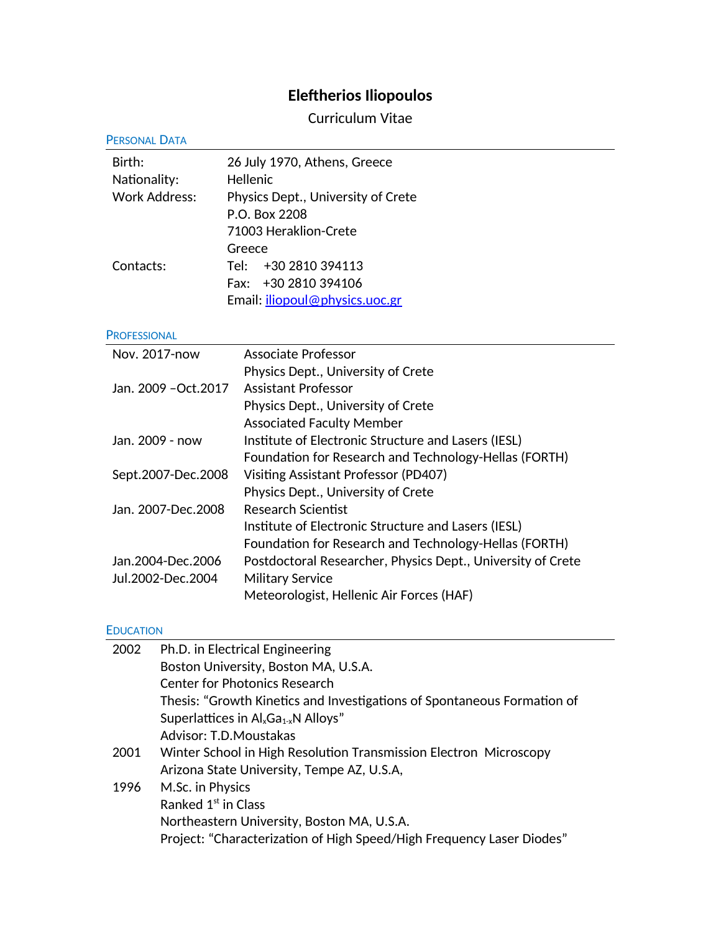# **Eleftherios Iliopoulos**

Curriculum Vitae

| <b>PERSONAL DATA</b>  |                  |                                                                         |
|-----------------------|------------------|-------------------------------------------------------------------------|
| Birth:                |                  | 26 July 1970, Athens, Greece                                            |
| Nationality:          |                  | Hellenic                                                                |
| <b>Work Address:</b>  |                  | Physics Dept., University of Crete                                      |
|                       |                  | P.O. Box 2208                                                           |
|                       |                  | 71003 Heraklion-Crete                                                   |
|                       |                  | Greece                                                                  |
| Contacts:             |                  | +30 2810 394113<br>Tel:                                                 |
|                       |                  | Fax: +30 2810 394106                                                    |
|                       |                  | Email: <i>iliopoul@physics.uoc.gr</i>                                   |
| <b>PROFESSIONAL</b>   |                  |                                                                         |
| Nov. 2017-now         |                  | <b>Associate Professor</b>                                              |
|                       |                  | Physics Dept., University of Crete                                      |
| Jan. 2009 - Oct. 2017 |                  | <b>Assistant Professor</b>                                              |
|                       |                  | Physics Dept., University of Crete                                      |
|                       |                  | <b>Associated Faculty Member</b>                                        |
| Jan. 2009 - now       |                  | Institute of Electronic Structure and Lasers (IESL)                     |
|                       |                  | Foundation for Research and Technology-Hellas (FORTH)                   |
| Sept.2007-Dec.2008    |                  | Visiting Assistant Professor (PD407)                                    |
|                       |                  | Physics Dept., University of Crete                                      |
| Jan. 2007-Dec. 2008   |                  | <b>Research Scientist</b>                                               |
|                       |                  | Institute of Electronic Structure and Lasers (IESL)                     |
|                       |                  | Foundation for Research and Technology-Hellas (FORTH)                   |
| Jan.2004-Dec.2006     |                  | Postdoctoral Researcher, Physics Dept., University of Crete             |
| Jul.2002-Dec.2004     |                  | <b>Military Service</b>                                                 |
|                       |                  | Meteorologist, Hellenic Air Forces (HAF)                                |
| <b>EDUCATION</b>      |                  |                                                                         |
| 2002                  |                  | Ph.D. in Electrical Engineering                                         |
|                       |                  | Boston University, Boston MA, U.S.A.                                    |
|                       |                  | <b>Center for Photonics Research</b>                                    |
|                       |                  | Thesis: "Growth Kinetics and Investigations of Spontaneous Formation of |
|                       |                  | Superlattices in $\mathsf{Al}_x\mathsf{Ga}_{1-x}\mathsf{N}$ Alloys"     |
|                       |                  | Advisor: T.D.Moustakas                                                  |
| 2001                  |                  | Winter School in High Resolution Transmission Electron Microscopy       |
|                       |                  | Arizona State University, Tempe AZ, U.S.A,                              |
| 1996                  | M.Sc. in Physics |                                                                         |

Northeastern University, Boston MA, U.S.A. Project: "Characterization of High Speed/High Frequency Laser Diodes"

Ranked  $1<sup>st</sup>$  in Class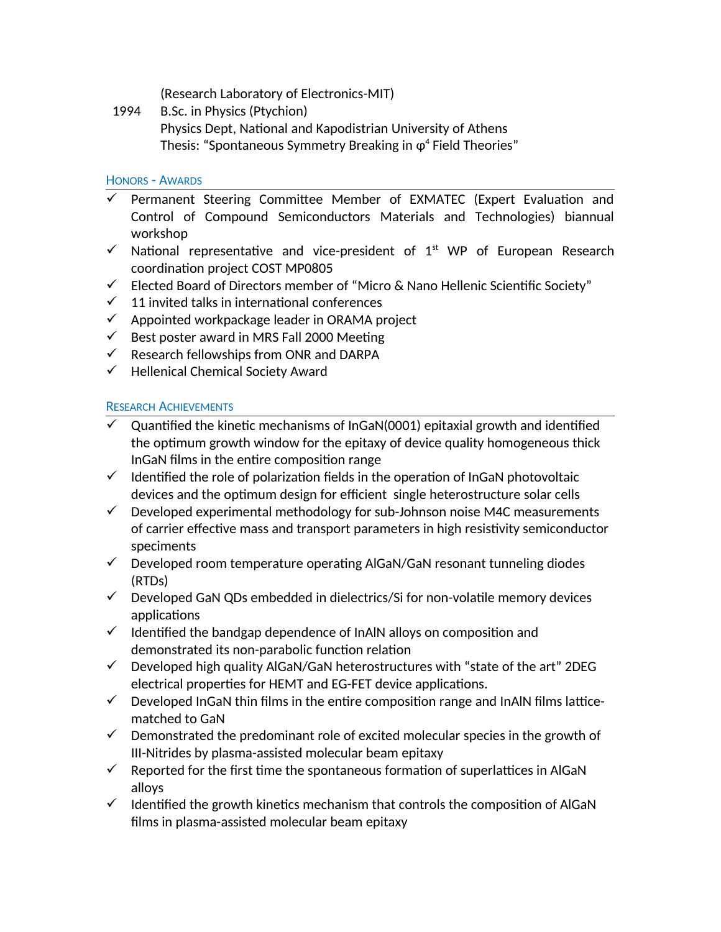(Research Laboratory of Electronics-MIT)

1994 B.Sc. in Physics (Ptychion) Physics Dept, National and Kapodistrian University of Athens Thesis: "Spontaneous Symmetry Breaking in  $\varphi^4$  Field Theories"

#### HONORS - AWARDS

- $\checkmark$  Permanent Steering Committee Member of EXMATEC (Expert Evaluation and Control of Compound Semiconductors Materials and Technologies) biannual workshop
- $\checkmark$  National representative and vice-president of 1<sup>st</sup> WP of European Research coordination project COST MP0805
- $\checkmark$  Elected Board of Directors member of "Micro & Nano Hellenic Scientific Society"
- $\checkmark$  11 invited talks in international conferences
- $\checkmark$  Appointed workpackage leader in ORAMA project
- $\checkmark$  Best poster award in MRS Fall 2000 Meeting
- $\checkmark$  Research fellowships from ONR and DARPA
- $\checkmark$  Hellenical Chemical Society Award

## RESEARCH ACHIEVEMENTS

- $\checkmark$  Quantified the kinetic mechanisms of InGaN(0001) epitaxial growth and identified the optimum growth window for the epitaxy of device quality homogeneous thick InGaN films in the entire composition range
- $\checkmark$  Identified the role of polarization fields in the operation of InGaN photovoltaic devices and the optimum design for efficient single heterostructure solar cells
- $\checkmark$  Developed experimental methodology for sub-Johnson noise M4C measurements of carrier effective mass and transport parameters in high resistivity semiconductor speciments
- $\checkmark$  Developed room temperature operating AlGaN/GaN resonant tunneling diodes (RTDs)
- $\checkmark$  Developed GaN QDs embedded in dielectrics/Si for non-volatile memory devices applications
- $\checkmark$  Identified the bandgap dependence of InAlN alloys on composition and demonstrated its non-parabolic function relation
- $\checkmark$  Developed high quality AlGaN/GaN heterostructures with "state of the art" 2DEG electrical properties for HEMT and EG-FET device applications.
- $\checkmark$  Developed InGaN thin films in the entire composition range and InAlN films latticematched to GaN
- $\checkmark$  Demonstrated the predominant role of excited molecular species in the growth of III-Nitrides by plasma-assisted molecular beam epitaxy
- $\checkmark$  Reported for the first time the spontaneous formation of superlattices in AlGaN alloys
- $\checkmark$  Identified the growth kinetics mechanism that controls the composition of AlGaN films in plasma-assisted molecular beam epitaxy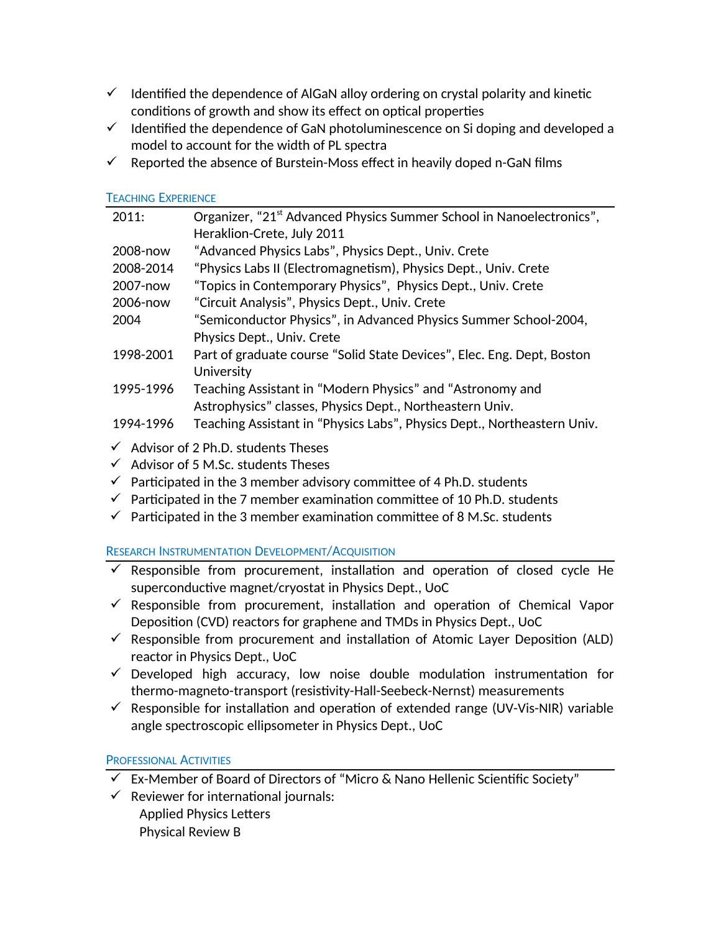- $\checkmark$  Identified the dependence of AlGaN alloy ordering on crystal polarity and kinetic conditions of growth and show its effect on optical properties
- $\checkmark$  Identified the dependence of GaN photoluminescence on Si doping and developed a model to account for the width of PL spectra
- $\checkmark$  Reported the absence of Burstein-Moss effect in heavily doped n-GaN films

## TEACHING EXPERIENCE

| 2011:     | Organizer, "21 <sup>st</sup> Advanced Physics Summer School in Nanoelectronics", |
|-----------|----------------------------------------------------------------------------------|
|           | Heraklion-Crete, July 2011                                                       |
| 2008-now  | "Advanced Physics Labs", Physics Dept., Univ. Crete                              |
| 2008-2014 | "Physics Labs II (Electromagnetism), Physics Dept., Univ. Crete                  |
| 2007-now  | "Topics in Contemporary Physics", Physics Dept., Univ. Crete                     |
| 2006-now  | "Circuit Analysis", Physics Dept., Univ. Crete                                   |
| 2004      | "Semiconductor Physics", in Advanced Physics Summer School-2004,                 |
|           | Physics Dept., Univ. Crete                                                       |
| 1998-2001 | Part of graduate course "Solid State Devices", Elec. Eng. Dept, Boston           |
|           | University                                                                       |
| 1995-1996 | Teaching Assistant in "Modern Physics" and "Astronomy and                        |
|           | Astrophysics" classes, Physics Dept., Northeastern Univ.                         |
| 1994-1996 | Teaching Assistant in "Physics Labs", Physics Dept., Northeastern Univ.          |
|           |                                                                                  |

- $\checkmark$  Advisor of 2 Ph.D. students Theses
- $\checkmark$  Advisor of 5 M.Sc. students Theses
- $\checkmark$  Participated in the 3 member advisory committee of 4 Ph.D. students
- $\checkmark$  Participated in the 7 member examination committee of 10 Ph.D. students
- $\checkmark$  Participated in the 3 member examination committee of 8 M.Sc. students

# RESEARCH INSTRUMENTATION DEVELOPMENT/ACQUISITION

- $\checkmark$  Responsible from procurement, installation and operation of closed cycle He superconductive magnet/cryostat in Physics Dept., UoC
- $\checkmark$  Responsible from procurement, installation and operation of Chemical Vapor Deposition (CVD) reactors for graphene and TMDs in Physics Dept., UoC
- $\checkmark$  Responsible from procurement and installation of Atomic Layer Deposition (ALD) reactor in Physics Dept., UoC
- $\checkmark$  Developed high accuracy, low noise double modulation instrumentation for thermo-magneto-transport (resistivity-Hall-Seebeck-Nernst) measurements
- $\checkmark$  Responsible for installation and operation of extended range (UV-Vis-NIR) variable angle spectroscopic ellipsometer in Physics Dept., UoC

# PROFESSIONAL ACTIVITIES

- $\checkmark$  Ex-Member of Board of Directors of "Micro & Nano Hellenic Scientific Society"
- $\checkmark$  Reviewer for international journals: Applied Physics Letters Physical Review B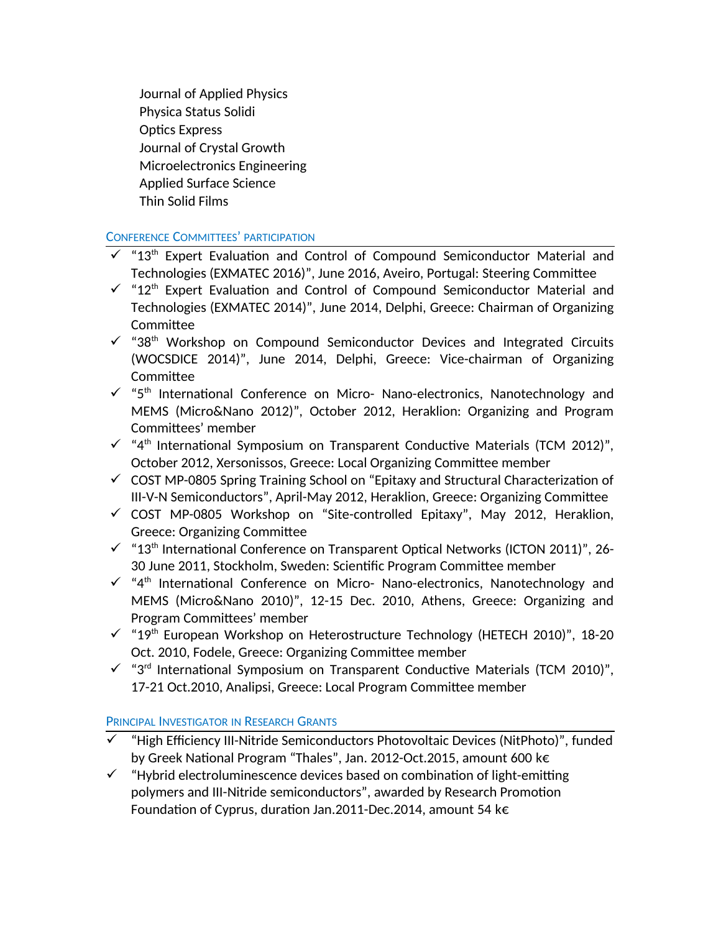Journal of Applied Physics Physica Status Solidi Optics Express Journal of Crystal Growth Microelectronics Engineering Applied Surface Science Thin Solid Films

# CONFERENCE COMMITTEES' PARTICIPATION

- $\checkmark$  "13<sup>th</sup> Expert Evaluation and Control of Compound Semiconductor Material and Technologies (EXMATEC 2016)", June 2016, Aveiro, Portugal: Steering Committee
- $\checkmark$  "12<sup>th</sup> Expert Evaluation and Control of Compound Semiconductor Material and Technologies (EXMATEC 2014)", June 2014, Delphi, Greece: Chairman of Organizing Committee
- $\checkmark$  "38<sup>th</sup> Workshop on Compound Semiconductor Devices and Integrated Circuits (WOCSDICE 2014)", June 2014, Delphi, Greece: Vice-chairman of Organizing Committee
- $\checkmark$  "5<sup>th</sup> International Conference on Micro- Nano-electronics, Nanotechnology and MEMS (Micro&Nano 2012)", October 2012, Heraklion: Organizing and Program Committees' member
- $\checkmark$  "4<sup>th</sup> International Symposium on Transparent Conductive Materials (TCM 2012)", October 2012, Xersonissos, Greece: Local Organizing Committee member
- $\checkmark$  COST MP-0805 Spring Training School on "Epitaxy and Structural Characterization of III-V-N Semiconductors", April-May 2012, Heraklion, Greece: Organizing Committee
- $\checkmark$  COST MP-0805 Workshop on "Site-controlled Epitaxy", May 2012, Heraklion, Greece: Organizing Committee
- $\checkmark$  "13<sup>th</sup> International Conference on Transparent Optical Networks (ICTON 2011)", 26-30 June 2011, Stockholm, Sweden: Scientific Program Committee member
- $\checkmark$  "4<sup>th</sup> International Conference on Micro- Nano-electronics, Nanotechnology and MEMS (Micro&Nano 2010)", 12-15 Dec. 2010, Athens, Greece: Organizing and Program Committees' member
- $\checkmark$  "19<sup>th</sup> European Workshop on Heterostructure Technology (HETECH 2010)", 18-20 Oct. 2010, Fodele, Greece: Organizing Committee member
- $\checkmark$  "3<sup>rd</sup> International Symposium on Transparent Conductive Materials (TCM 2010)", 17-21 Oct.2010, Analipsi, Greece: Local Program Committee member

# PRINCIPAL INVESTIGATOR IN RESEARCH GRANTS

- $\checkmark$  "High Efficiency III-Nitride Semiconductors Photovoltaic Devices (NitPhoto)", funded by Greek National Program "Thales", Jan. 2012-Oct.2015, amount 600 k€
- $\checkmark$  "Hybrid electroluminescence devices based on combination of light-emitting polymers and III-Nitride semiconductors", awarded by Research Promotion Foundation of Cyprus, duration Jan.2011-Dec.2014, amount 54 k€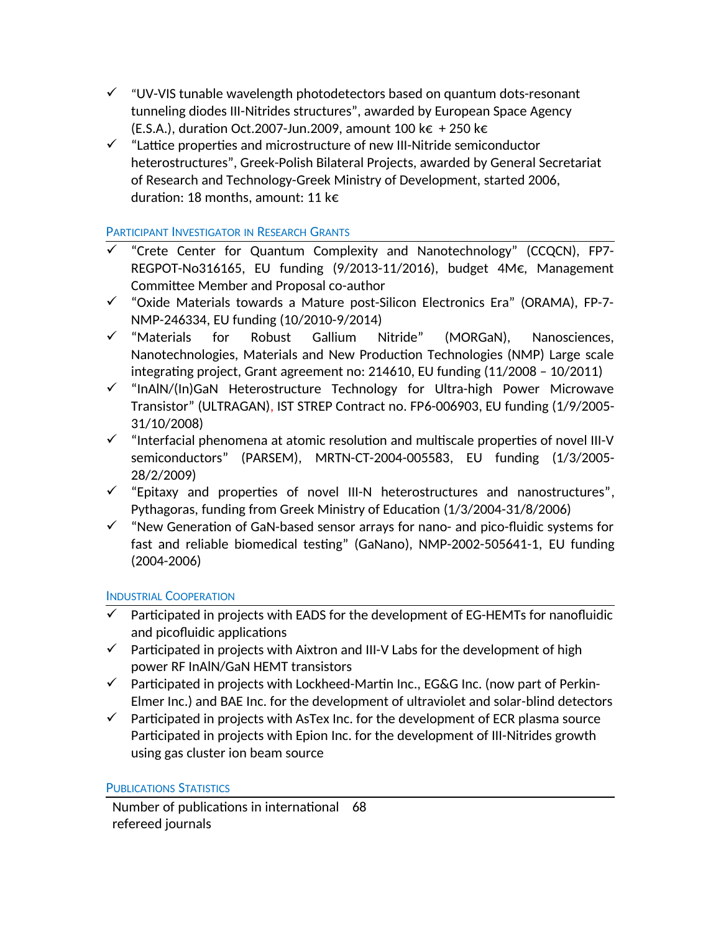- $\checkmark$  "UV-VIS tunable wavelength photodetectors based on quantum dots-resonant tunneling diodes III-Nitrides structures", awarded by European Space Agency (E.S.A.), duration Oct.2007-Jun.2009, amount 100 k€ + 250 k€
- $\checkmark$  "Lattice properties and microstructure of new III-Nitride semiconductor heterostructures", Greek-Polish Bilateral Projects, awarded by General Secretariat of Research and Technology-Greek Ministry of Development, started 2006, duration: 18 months, amount: 11 k€

# PARTICIPANT INVESTIGATOR IN RESEARCH GRANTS

- $\checkmark$  "Crete Center for Quantum Complexity and Nanotechnology" (CCQCN), FP7-REGPOT-No316165, EU funding (9/2013-11/2016), budget 4M€, Management Committee Member and Proposal co-author
- $\checkmark$  "Oxide Materials towards a Mature post-Silicon Electronics Era" (ORAMA), FP-7-NMP-246334, EU funding (10/2010-9/2014)
- $\checkmark$  "Materials for Robust Gallium Nitride" (MORGaN), Nanosciences, Nanotechnologies, Materials and New Production Technologies (NMP) Large scale integrating project, Grant agreement no: 214610, EU funding (11/2008 – 10/2011)
- $\checkmark$  "InAlN/(In)GaN Heterostructure Technology for Ultra-high Power Microwave Transistor" (ULTRAGAN), IST STREP Contract no. FP6-006903, EU funding (1/9/2005- 31/10/2008)
- $\checkmark$  "Interfacial phenomena at atomic resolution and multiscale properties of novel III-V semiconductors" (PARSEM), MRTN-CT-2004-005583, EU funding (1/3/2005- 28/2/2009)
- $\checkmark$  "Epitaxy and properties of novel III-N heterostructures and nanostructures", Pythagoras, funding from Greek Ministry of Education (1/3/2004-31/8/2006)
- $\checkmark$  "New Generation of GaN-based sensor arrays for nano- and pico-fluidic systems for fast and reliable biomedical testing" (GaNano), NMP-2002-505641-1, EU funding (2004-2006)

## INDUSTRIAL COOPERATION

- $\checkmark$  Participated in projects with EADS for the development of EG-HEMTs for nanofluidic and picofluidic applications
- $\checkmark$  Participated in projects with Aixtron and III-V Labs for the development of high power RF InAlN/GaN HEMT transistors
- $\checkmark$  Participated in projects with Lockheed-Martin Inc., EG&G Inc. (now part of Perkin-Elmer Inc.) and BAE Inc. for the development of ultraviolet and solar-blind detectors
- $\checkmark$  Participated in projects with AsTex Inc. for the development of ECR plasma source Participated in projects with Epion Inc. for the development of III-Nitrides growth using gas cluster ion beam source

## PUBLICATIONS STATISTICS

Number of publications in international 68refereed journals